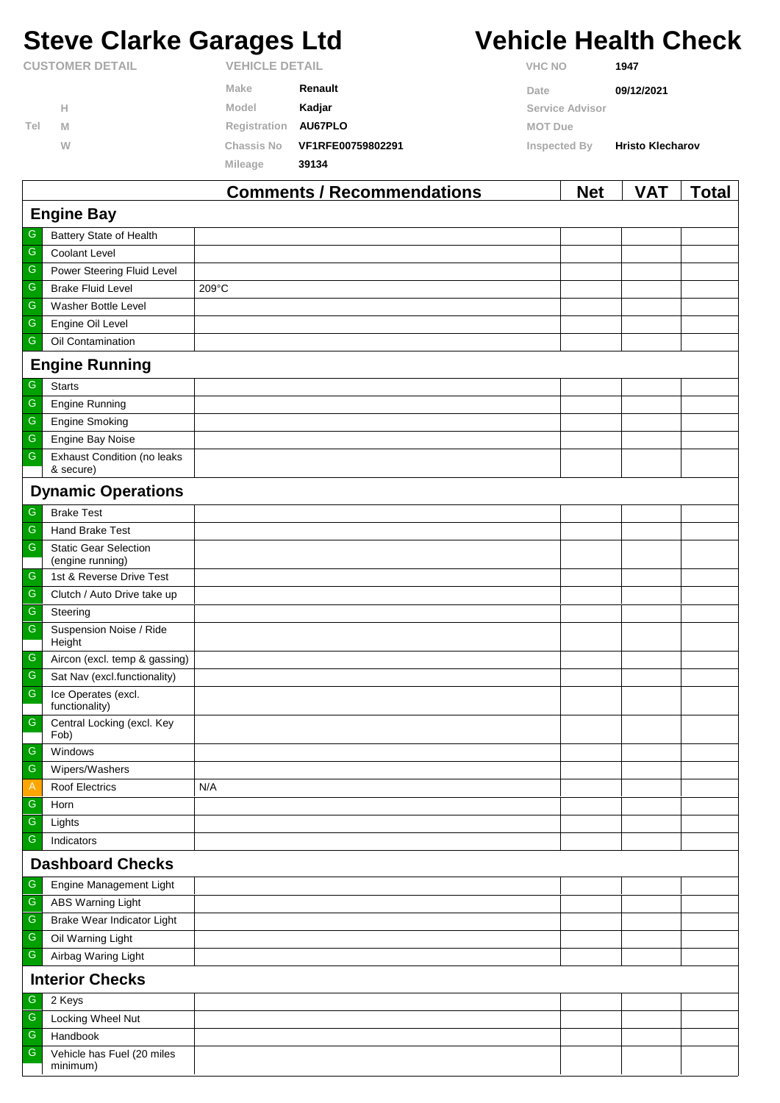# **Steve Clarke Garages Ltd Vehicle Health Check**

|                        |   |                       | Commants / Racommandations |                | <b>Nat</b>      | <b>VAT</b>              | Total |
|------------------------|---|-----------------------|----------------------------|----------------|-----------------|-------------------------|-------|
|                        |   | <b>Mileage</b>        | 39134                      |                |                 |                         |       |
|                        | W | Chassis No            | VF1RFE00759802291          | Inspected By   |                 | <b>Hristo Klecharov</b> |       |
| Tel                    | M | Registration          | AU67PLO                    | <b>MOT Due</b> |                 |                         |       |
|                        | н | Model                 | Kadjar                     |                | Service Advisor |                         |       |
|                        |   | Make                  | Renault                    | Date           |                 | 09/12/2021              |       |
| <b>CUSTOMER DETAIL</b> |   | <b>VEHICLE DETAIL</b> |                            | <b>VHC NO</b>  |                 | 1947                    |       |

| <b>Comments / Recommendations</b><br><b>Net</b><br><b>VAT</b><br><b>Total</b> |                                                  |       |  |  |  |  |  |
|-------------------------------------------------------------------------------|--------------------------------------------------|-------|--|--|--|--|--|
| <b>Engine Bay</b>                                                             |                                                  |       |  |  |  |  |  |
| G                                                                             | Battery State of Health                          |       |  |  |  |  |  |
| ${\mathbb G}$                                                                 | Coolant Level                                    |       |  |  |  |  |  |
| G                                                                             | Power Steering Fluid Level                       |       |  |  |  |  |  |
| ${\mathbb G}$                                                                 | <b>Brake Fluid Level</b>                         | 209°C |  |  |  |  |  |
| ${\mathsf G}$                                                                 | Washer Bottle Level                              |       |  |  |  |  |  |
| ${\mathbb G}$                                                                 | Engine Oil Level                                 |       |  |  |  |  |  |
| G                                                                             | Oil Contamination                                |       |  |  |  |  |  |
|                                                                               | <b>Engine Running</b>                            |       |  |  |  |  |  |
| G                                                                             | <b>Starts</b>                                    |       |  |  |  |  |  |
| G                                                                             | <b>Engine Running</b>                            |       |  |  |  |  |  |
| G                                                                             | <b>Engine Smoking</b>                            |       |  |  |  |  |  |
| G                                                                             | Engine Bay Noise                                 |       |  |  |  |  |  |
| ${\mathbb G}$                                                                 | <b>Exhaust Condition (no leaks</b><br>& secure)  |       |  |  |  |  |  |
|                                                                               | <b>Dynamic Operations</b>                        |       |  |  |  |  |  |
| ${\mathsf G}$                                                                 | <b>Brake Test</b>                                |       |  |  |  |  |  |
| G                                                                             | Hand Brake Test                                  |       |  |  |  |  |  |
| ${\mathsf G}$                                                                 | <b>Static Gear Selection</b><br>(engine running) |       |  |  |  |  |  |
| G                                                                             | 1st & Reverse Drive Test                         |       |  |  |  |  |  |
| G                                                                             | Clutch / Auto Drive take up                      |       |  |  |  |  |  |
| G                                                                             | Steering                                         |       |  |  |  |  |  |
| ${\mathsf G}$                                                                 | Suspension Noise / Ride<br>Height                |       |  |  |  |  |  |
| $\mathsf G$                                                                   | Aircon (excl. temp & gassing)                    |       |  |  |  |  |  |
| ${\mathbb G}$                                                                 | Sat Nav (excl.functionality)                     |       |  |  |  |  |  |
| ${\mathsf G}$                                                                 | Ice Operates (excl.<br>functionality)            |       |  |  |  |  |  |
| ${\mathbb G}$                                                                 | Central Locking (excl. Key<br>Fob)               |       |  |  |  |  |  |
| $\mathsf G$                                                                   | Windows                                          |       |  |  |  |  |  |
| $\overline{\mathbb{G}}$                                                       | Wipers/Washers                                   |       |  |  |  |  |  |
| A                                                                             | <b>Roof Electrics</b>                            | N/A   |  |  |  |  |  |
| G                                                                             | Horn                                             |       |  |  |  |  |  |
| G                                                                             | Lights                                           |       |  |  |  |  |  |
| ${\mathsf G}$                                                                 | Indicators                                       |       |  |  |  |  |  |
|                                                                               | <b>Dashboard Checks</b>                          |       |  |  |  |  |  |
| G                                                                             | Engine Management Light                          |       |  |  |  |  |  |
| ${\mathbb G}$                                                                 | <b>ABS Warning Light</b>                         |       |  |  |  |  |  |
| ${\mathbb G}$                                                                 | Brake Wear Indicator Light                       |       |  |  |  |  |  |
| ${\mathsf G}$                                                                 | Oil Warning Light                                |       |  |  |  |  |  |
| G                                                                             | Airbag Waring Light                              |       |  |  |  |  |  |
|                                                                               | <b>Interior Checks</b>                           |       |  |  |  |  |  |
| G                                                                             | 2 Keys                                           |       |  |  |  |  |  |
| G                                                                             | Locking Wheel Nut                                |       |  |  |  |  |  |
| G                                                                             | Handbook                                         |       |  |  |  |  |  |
| ${\mathbb G}$                                                                 | Vehicle has Fuel (20 miles<br>minimum)           |       |  |  |  |  |  |